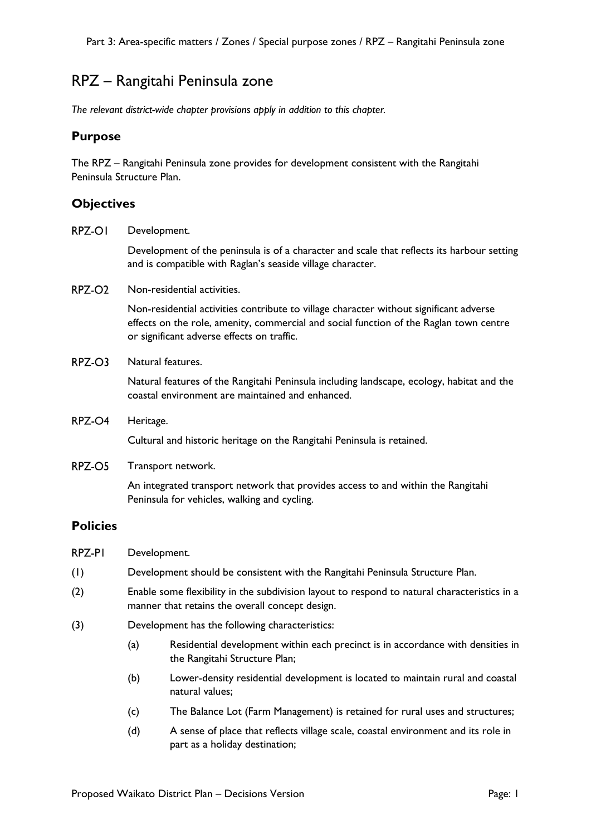# RPZ – Rangitahi Peninsula zone

*The relevant district-wide chapter provisions apply in addition to this chapter.*

### **Purpose**

The RPZ – Rangitahi Peninsula zone provides for development consistent with the Rangitahi Peninsula Structure Plan.

### **Objectives**

RPZ-OI Development.

> Development of the peninsula is of a character and scale that reflects its harbour setting and is compatible with Raglan's seaside village character.

 $RPZ$ - $O2$ Non-residential activities.

> Non-residential activities contribute to village character without significant adverse effects on the role, amenity, commercial and social function of the Raglan town centre or significant adverse effects on traffic.

RPZ-O3 Natural features.

> Natural features of the Rangitahi Peninsula including landscape, ecology, habitat and the coastal environment are maintained and enhanced.

RPZ-O4 Heritage.

Cultural and historic heritage on the Rangitahi Peninsula is retained.

RPZ-O5 Transport network.

> An integrated transport network that provides access to and within the Rangitahi Peninsula for vehicles, walking and cycling.

#### **Policies**

- RPZ-PI Development.
- (1) Development should be consistent with the Rangitahi Peninsula Structure Plan.
- (2) Enable some flexibility in the subdivision layout to respond to natural characteristics in a manner that retains the overall concept design.
- (3) Development has the following characteristics:
	- (a) Residential development within each precinct is in accordance with densities in the Rangitahi Structure Plan;
	- (b) Lower-density residential development is located to maintain rural and coastal natural values;
	- (c) The Balance Lot (Farm Management) is retained for rural uses and structures;
	- (d) A sense of place that reflects village scale, coastal environment and its role in part as a holiday destination;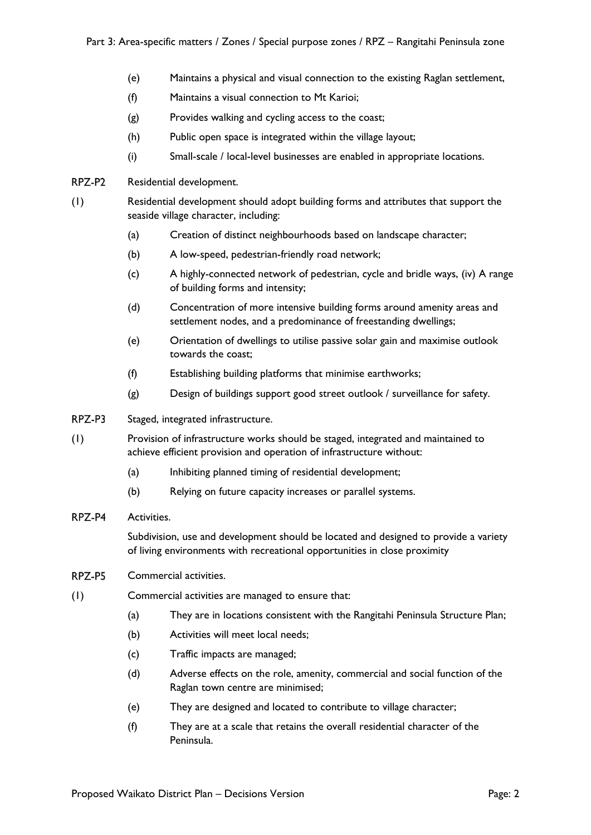- (e) Maintains a physical and visual connection to the existing Raglan settlement,
- (f) Maintains a visual connection to Mt Karioi;
- (g) Provides walking and cycling access to the coast;
- (h) Public open space is integrated within the village layout;
- (i) Small-scale / local-level businesses are enabled in appropriate locations.
- **RP7-P2** Residential development.
- (1) Residential development should adopt building forms and attributes that support the seaside village character, including:
	- (a) Creation of distinct neighbourhoods based on landscape character;
	- (b) A low-speed, pedestrian-friendly road network;
	- (c) A highly-connected network of pedestrian, cycle and bridle ways, (iv) A range of building forms and intensity;
	- (d) Concentration of more intensive building forms around amenity areas and settlement nodes, and a predominance of freestanding dwellings;
	- (e) Orientation of dwellings to utilise passive solar gain and maximise outlook towards the coast;
	- (f) Establishing building platforms that minimise earthworks;
	- (g) Design of buildings support good street outlook / surveillance for safety.
- RPZ-P3 Staged, integrated infrastructure.
- (1) Provision of infrastructure works should be staged, integrated and maintained to achieve efficient provision and operation of infrastructure without:
	- (a) Inhibiting planned timing of residential development;
	- (b) Relying on future capacity increases or parallel systems.

#### RPZ-P4 Activities.

Subdivision, use and development should be located and designed to provide a variety of living environments with recreational opportunities in close proximity

- RPZ-P5 Commercial activities.
- (1) Commercial activities are managed to ensure that:
	- (a) They are in locations consistent with the Rangitahi Peninsula Structure Plan;
	- (b) Activities will meet local needs;
	- (c) Traffic impacts are managed;
	- (d) Adverse effects on the role, amenity, commercial and social function of the Raglan town centre are minimised;
	- (e) They are designed and located to contribute to village character;
	- (f) They are at a scale that retains the overall residential character of the Peninsula.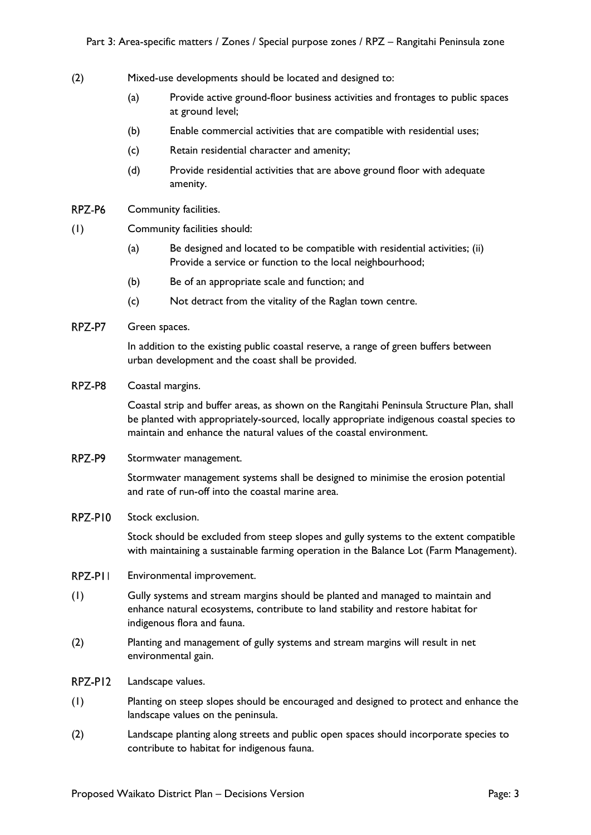- (2) Mixed-use developments should be located and designed to:
	- (a) Provide active ground-floor business activities and frontages to public spaces at ground level;
	- (b) Enable commercial activities that are compatible with residential uses;
	- (c) Retain residential character and amenity;
	- (d) Provide residential activities that are above ground floor with adequate amenity.
- RPZ-P6 Community facilities.
- (1) Community facilities should:
	- (a) Be designed and located to be compatible with residential activities; (ii) Provide a service or function to the local neighbourhood;
	- (b) Be of an appropriate scale and function; and
	- (c) Not detract from the vitality of the Raglan town centre.
- RPZ-P7 Green spaces.

In addition to the existing public coastal reserve, a range of green buffers between urban development and the coast shall be provided.

RPZ-P8 Coastal margins.

> Coastal strip and buffer areas, as shown on the Rangitahi Peninsula Structure Plan, shall be planted with appropriately-sourced, locally appropriate indigenous coastal species to maintain and enhance the natural values of the coastal environment.

RPZ-P9 Stormwater management.

> Stormwater management systems shall be designed to minimise the erosion potential and rate of run-off into the coastal marine area.

#### RPZ-PIO Stock exclusion.

Stock should be excluded from steep slopes and gully systems to the extent compatible with maintaining a sustainable farming operation in the Balance Lot (Farm Management).

- RPZ-PII Environmental improvement.
- (1) Gully systems and stream margins should be planted and managed to maintain and enhance natural ecosystems, contribute to land stability and restore habitat for indigenous flora and fauna.
- (2) Planting and management of gully systems and stream margins will result in net environmental gain.
- RPZ-PI2 Landscape values.
- (1) Planting on steep slopes should be encouraged and designed to protect and enhance the landscape values on the peninsula.
- (2) Landscape planting along streets and public open spaces should incorporate species to contribute to habitat for indigenous fauna.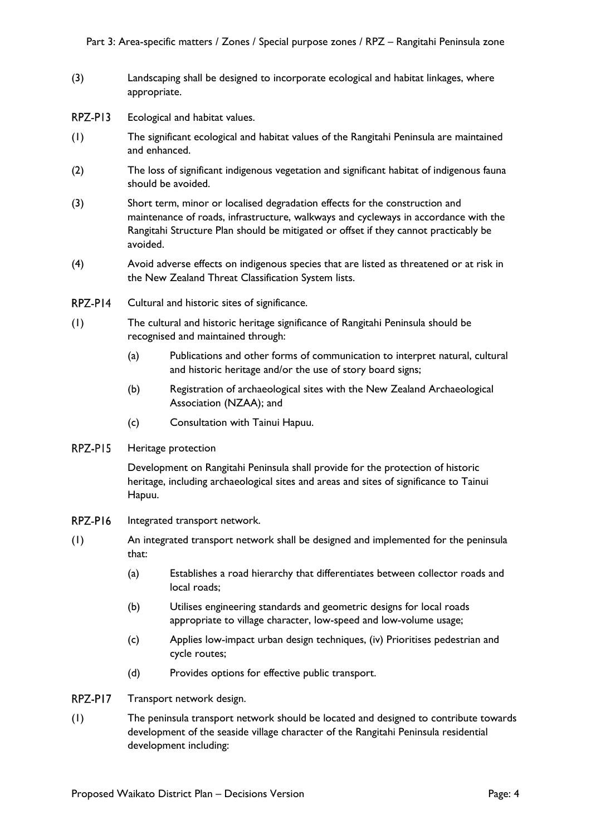- (3) Landscaping shall be designed to incorporate ecological and habitat linkages, where appropriate.
- RPZ-PI3 Ecological and habitat values.
- (1) The significant ecological and habitat values of the Rangitahi Peninsula are maintained and enhanced.
- (2) The loss of significant indigenous vegetation and significant habitat of indigenous fauna should be avoided.
- (3) Short term, minor or localised degradation effects for the construction and maintenance of roads, infrastructure, walkways and cycleways in accordance with the Rangitahi Structure Plan should be mitigated or offset if they cannot practicably be avoided.
- (4) Avoid adverse effects on indigenous species that are listed as threatened or at risk in the New Zealand Threat Classification System lists.
- RPZ-P14 Cultural and historic sites of significance.
- (1) The cultural and historic heritage significance of Rangitahi Peninsula should be recognised and maintained through:
	- (a) Publications and other forms of communication to interpret natural, cultural and historic heritage and/or the use of story board signs;
	- (b) Registration of archaeological sites with the New Zealand Archaeological Association (NZAA); and
	- (c) Consultation with Tainui Hapuu.
- RPZ-PI5 Heritage protection

Development on Rangitahi Peninsula shall provide for the protection of historic heritage, including archaeological sites and areas and sites of significance to Tainui Hapuu.

- RPZ-P16 Integrated transport network.
- (1) An integrated transport network shall be designed and implemented for the peninsula that:
	- (a) Establishes a road hierarchy that differentiates between collector roads and local roads;
	- (b) Utilises engineering standards and geometric designs for local roads appropriate to village character, low-speed and low-volume usage;
	- (c) Applies low-impact urban design techniques, (iv) Prioritises pedestrian and cycle routes;
	- (d) Provides options for effective public transport.
- RPZ-PI7 Transport network design.
- (1) The peninsula transport network should be located and designed to contribute towards development of the seaside village character of the Rangitahi Peninsula residential development including: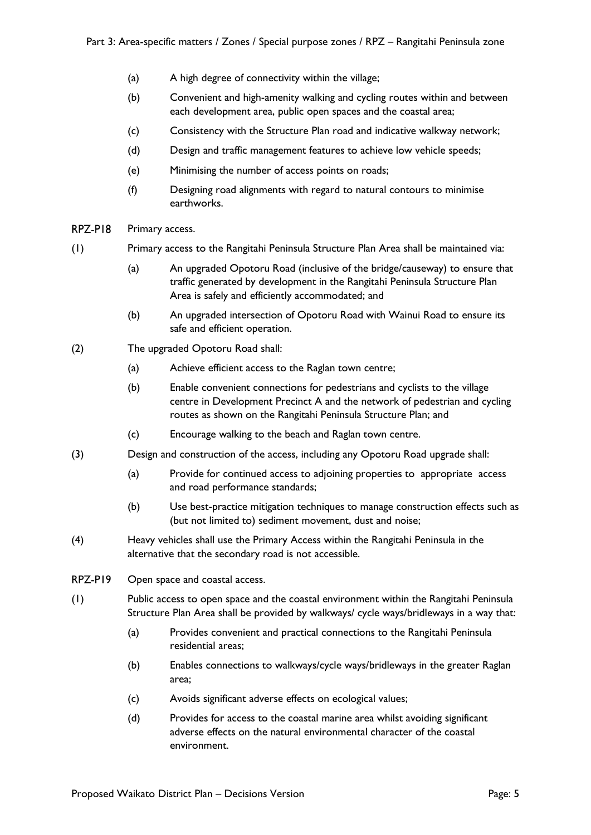- (a) A high degree of connectivity within the village;
- (b) Convenient and high-amenity walking and cycling routes within and between each development area, public open spaces and the coastal area;
- (c) Consistency with the Structure Plan road and indicative walkway network;
- (d) Design and traffic management features to achieve low vehicle speeds;
- (e) Minimising the number of access points on roads;
- (f) Designing road alignments with regard to natural contours to minimise earthworks.
- RPZ-PI8 Primary access.
- (1) Primary access to the Rangitahi Peninsula Structure Plan Area shall be maintained via:
	- (a) An upgraded Opotoru Road (inclusive of the bridge/causeway) to ensure that traffic generated by development in the Rangitahi Peninsula Structure Plan Area is safely and efficiently accommodated; and
	- (b) An upgraded intersection of Opotoru Road with Wainui Road to ensure its safe and efficient operation.
- (2) The upgraded Opotoru Road shall:
	- (a) Achieve efficient access to the Raglan town centre;
	- (b) Enable convenient connections for pedestrians and cyclists to the village centre in Development Precinct A and the network of pedestrian and cycling routes as shown on the Rangitahi Peninsula Structure Plan; and
	- (c) Encourage walking to the beach and Raglan town centre.
- (3) Design and construction of the access, including any Opotoru Road upgrade shall:
	- (a) Provide for continued access to adjoining properties to appropriate access and road performance standards;
	- (b) Use best-practice mitigation techniques to manage construction effects such as (but not limited to) sediment movement, dust and noise;
- (4) Heavy vehicles shall use the Primary Access within the Rangitahi Peninsula in the alternative that the secondary road is not accessible.
- RPZ-P19 Open space and coastal access.
- (1) Public access to open space and the coastal environment within the Rangitahi Peninsula Structure Plan Area shall be provided by walkways/ cycle ways/bridleways in a way that:
	- (a) Provides convenient and practical connections to the Rangitahi Peninsula residential areas;
	- (b) Enables connections to walkways/cycle ways/bridleways in the greater Raglan area;
	- (c) Avoids significant adverse effects on ecological values;
	- (d) Provides for access to the coastal marine area whilst avoiding significant adverse effects on the natural environmental character of the coastal environment.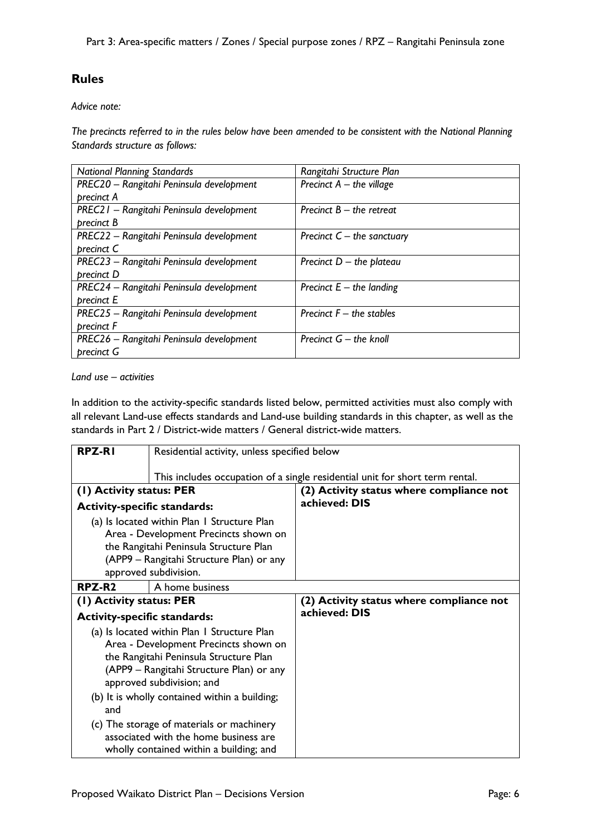## **Rules**

*Advice note:*

*The precincts referred to in the rules below have been amended to be consistent with the National Planning Standards structure as follows:*

| <b>National Planning Standards</b>       | Rangitahi Structure Plan     |
|------------------------------------------|------------------------------|
| PREC20 - Rangitahi Peninsula development | Precinct $A - the$ village   |
| precinct A                               |                              |
| PREC21 - Rangitahi Peninsula development | Precinct $B - the$ retreat   |
| precinct B                               |                              |
| PREC22 - Rangitahi Peninsula development | Precinct $C$ – the sanctuary |
| precinct C                               |                              |
| PREC23 - Rangitahi Peninsula development | Precinct $D -$ the plateau   |
| precinct D                               |                              |
| PREC24 - Rangitahi Peninsula development | Precinct $E -$ the landing   |
| precinct E                               |                              |
| PREC25 - Rangitahi Peninsula development | Precinct $F -$ the stables   |
| precinct F                               |                              |
| PREC26 - Rangitahi Peninsula development | Precinct $G$ – the knoll     |
| precinct G                               |                              |

*Land use – activities*

In addition to the activity-specific standards listed below, permitted activities must also comply with all relevant Land-use effects standards and Land-use building standards in this chapter, as well as the standards in Part 2 / District-wide matters / General district-wide matters.

| <b>RPZ-RI</b>                                                                                                                                                                                                                                                   | Residential activity, unless specified below                                                                                                                                                        |                                          |
|-----------------------------------------------------------------------------------------------------------------------------------------------------------------------------------------------------------------------------------------------------------------|-----------------------------------------------------------------------------------------------------------------------------------------------------------------------------------------------------|------------------------------------------|
|                                                                                                                                                                                                                                                                 | This includes occupation of a single residential unit for short term rental.                                                                                                                        |                                          |
| (1) Activity status: PER                                                                                                                                                                                                                                        |                                                                                                                                                                                                     | (2) Activity status where compliance not |
| <b>Activity-specific standards:</b>                                                                                                                                                                                                                             |                                                                                                                                                                                                     | achieved: DIS                            |
|                                                                                                                                                                                                                                                                 | (a) Is located within Plan I Structure Plan<br>Area - Development Precincts shown on<br>the Rangitahi Peninsula Structure Plan<br>(APP9 - Rangitahi Structure Plan) or any<br>approved subdivision. |                                          |
| RPZ-R <sub>2</sub>                                                                                                                                                                                                                                              | A home business                                                                                                                                                                                     |                                          |
| (1) Activity status: PER                                                                                                                                                                                                                                        |                                                                                                                                                                                                     | (2) Activity status where compliance not |
| <b>Activity-specific standards:</b>                                                                                                                                                                                                                             |                                                                                                                                                                                                     | achieved: DIS                            |
| (a) Is located within Plan I Structure Plan<br>Area - Development Precincts shown on<br>the Rangitahi Peninsula Structure Plan<br>(APP9 - Rangitahi Structure Plan) or any<br>approved subdivision; and<br>(b) It is wholly contained within a building;<br>and |                                                                                                                                                                                                     |                                          |
| (c) The storage of materials or machinery<br>associated with the home business are<br>wholly contained within a building; and                                                                                                                                   |                                                                                                                                                                                                     |                                          |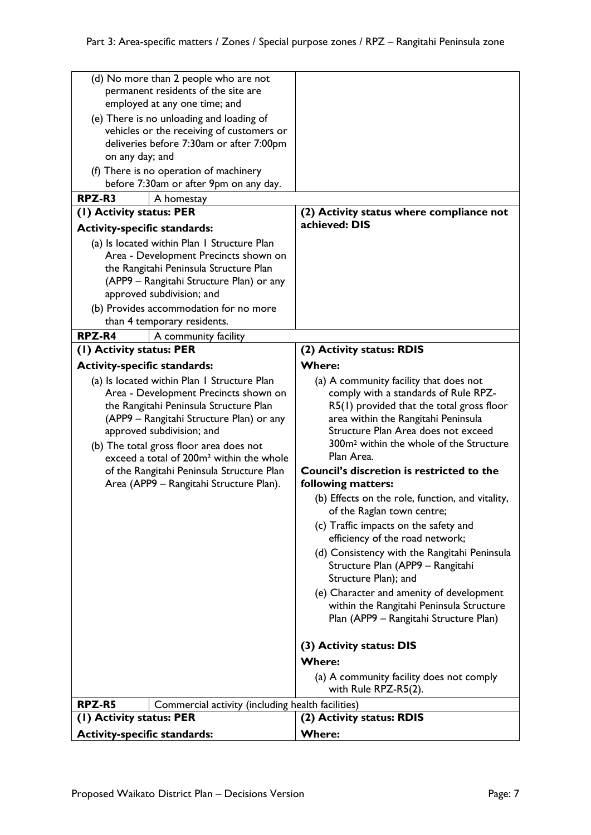| (d) No more than 2 people who are not<br>permanent residents of the site are<br>employed at any one time; and<br>(e) There is no unloading and loading of<br>vehicles or the receiving of customers or<br>deliveries before 7:30am or after 7:00pm<br>on any day; and<br>(f) There is no operation of machinery |                                                                                                                                                                                                                                                                                                                                                                                                    |                                                                                                                                                                                                                                                                                                                                                                                                                                                                                                                                                                                                                                                                                                                                                                                                                     |
|-----------------------------------------------------------------------------------------------------------------------------------------------------------------------------------------------------------------------------------------------------------------------------------------------------------------|----------------------------------------------------------------------------------------------------------------------------------------------------------------------------------------------------------------------------------------------------------------------------------------------------------------------------------------------------------------------------------------------------|---------------------------------------------------------------------------------------------------------------------------------------------------------------------------------------------------------------------------------------------------------------------------------------------------------------------------------------------------------------------------------------------------------------------------------------------------------------------------------------------------------------------------------------------------------------------------------------------------------------------------------------------------------------------------------------------------------------------------------------------------------------------------------------------------------------------|
|                                                                                                                                                                                                                                                                                                                 | before 7:30am or after 9pm on any day.                                                                                                                                                                                                                                                                                                                                                             |                                                                                                                                                                                                                                                                                                                                                                                                                                                                                                                                                                                                                                                                                                                                                                                                                     |
| RPZ-R3                                                                                                                                                                                                                                                                                                          | A homestay                                                                                                                                                                                                                                                                                                                                                                                         |                                                                                                                                                                                                                                                                                                                                                                                                                                                                                                                                                                                                                                                                                                                                                                                                                     |
| (1) Activity status: PER                                                                                                                                                                                                                                                                                        |                                                                                                                                                                                                                                                                                                                                                                                                    | (2) Activity status where compliance not                                                                                                                                                                                                                                                                                                                                                                                                                                                                                                                                                                                                                                                                                                                                                                            |
| <b>Activity-specific standards:</b>                                                                                                                                                                                                                                                                             |                                                                                                                                                                                                                                                                                                                                                                                                    | achieved: DIS                                                                                                                                                                                                                                                                                                                                                                                                                                                                                                                                                                                                                                                                                                                                                                                                       |
|                                                                                                                                                                                                                                                                                                                 | (a) Is located within Plan I Structure Plan<br>Area - Development Precincts shown on<br>the Rangitahi Peninsula Structure Plan<br>(APP9 - Rangitahi Structure Plan) or any<br>approved subdivision; and<br>(b) Provides accommodation for no more<br>than 4 temporary residents.                                                                                                                   |                                                                                                                                                                                                                                                                                                                                                                                                                                                                                                                                                                                                                                                                                                                                                                                                                     |
| RPZ-R4                                                                                                                                                                                                                                                                                                          | A community facility                                                                                                                                                                                                                                                                                                                                                                               |                                                                                                                                                                                                                                                                                                                                                                                                                                                                                                                                                                                                                                                                                                                                                                                                                     |
| (1) Activity status: PER                                                                                                                                                                                                                                                                                        |                                                                                                                                                                                                                                                                                                                                                                                                    | (2) Activity status: RDIS<br><b>Where:</b>                                                                                                                                                                                                                                                                                                                                                                                                                                                                                                                                                                                                                                                                                                                                                                          |
| <b>Activity-specific standards:</b>                                                                                                                                                                                                                                                                             | (a) Is located within Plan I Structure Plan<br>Area - Development Precincts shown on<br>the Rangitahi Peninsula Structure Plan<br>(APP9 – Rangitahi Structure Plan) or any<br>approved subdivision; and<br>(b) The total gross floor area does not<br>exceed a total of 200m <sup>2</sup> within the whole<br>of the Rangitahi Peninsula Structure Plan<br>Area (APP9 - Rangitahi Structure Plan). | (a) A community facility that does not<br>comply with a standards of Rule RPZ-<br>$R5(1)$ provided that the total gross floor<br>area within the Rangitahi Peninsula<br>Structure Plan Area does not exceed<br>300m <sup>2</sup> within the whole of the Structure<br>Plan Area.<br><b>Council's discretion is restricted to the</b><br>following matters:<br>(b) Effects on the role, function, and vitality,<br>of the Raglan town centre;<br>(c) Traffic impacts on the safety and<br>efficiency of the road network;<br>(d) Consistency with the Rangitahi Peninsula<br>Structure Plan (APP9 - Rangitahi<br>Structure Plan); and<br>(e) Character and amenity of development<br>within the Rangitahi Peninsula Structure<br>Plan (APP9 - Rangitahi Structure Plan)<br>(3) Activity status: DIS<br><b>Where:</b> |
|                                                                                                                                                                                                                                                                                                                 |                                                                                                                                                                                                                                                                                                                                                                                                    | with Rule RPZ-R5(2).                                                                                                                                                                                                                                                                                                                                                                                                                                                                                                                                                                                                                                                                                                                                                                                                |
| RPZ-R5                                                                                                                                                                                                                                                                                                          | Commercial activity (including health facilities)                                                                                                                                                                                                                                                                                                                                                  |                                                                                                                                                                                                                                                                                                                                                                                                                                                                                                                                                                                                                                                                                                                                                                                                                     |
| (1) Activity status: PER                                                                                                                                                                                                                                                                                        |                                                                                                                                                                                                                                                                                                                                                                                                    | (2) Activity status: RDIS                                                                                                                                                                                                                                                                                                                                                                                                                                                                                                                                                                                                                                                                                                                                                                                           |
| <b>Activity-specific standards:</b>                                                                                                                                                                                                                                                                             |                                                                                                                                                                                                                                                                                                                                                                                                    | <b>Where:</b>                                                                                                                                                                                                                                                                                                                                                                                                                                                                                                                                                                                                                                                                                                                                                                                                       |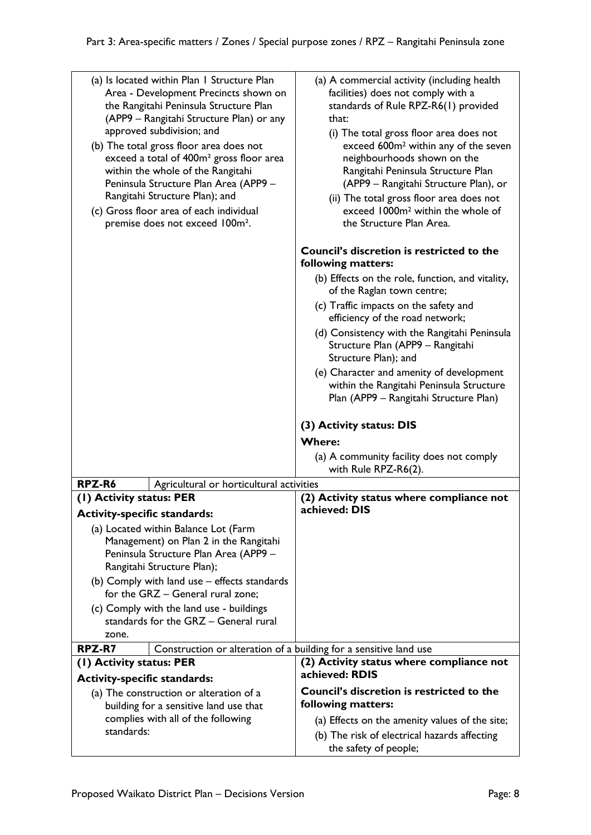| (a) Is located within Plan I Structure Plan<br>Area - Development Precincts shown on<br>the Rangitahi Peninsula Structure Plan<br>(APP9 – Rangitahi Structure Plan) or any<br>approved subdivision; and<br>(b) The total gross floor area does not<br>exceed a total of 400m <sup>2</sup> gross floor area<br>within the whole of the Rangitahi<br>Peninsula Structure Plan Area (APP9 -<br>Rangitahi Structure Plan); and<br>(c) Gross floor area of each individual<br>premise does not exceed 100m <sup>2</sup> . | (a) A commercial activity (including health<br>facilities) does not comply with a<br>standards of Rule RPZ-R6(1) provided<br>that:<br>(i) The total gross floor area does not<br>exceed 600m <sup>2</sup> within any of the seven<br>neighbourhoods shown on the<br>Rangitahi Peninsula Structure Plan<br>(APP9 - Rangitahi Structure Plan), or<br>(ii) The total gross floor area does not<br>exceed 1000m <sup>2</sup> within the whole of<br>the Structure Plan Area.<br>Council's discretion is restricted to the<br>following matters:<br>(b) Effects on the role, function, and vitality,<br>of the Raglan town centre;<br>(c) Traffic impacts on the safety and<br>efficiency of the road network;<br>(d) Consistency with the Rangitahi Peninsula<br>Structure Plan (APP9 - Rangitahi<br>Structure Plan); and<br>(e) Character and amenity of development<br>within the Rangitahi Peninsula Structure<br>Plan (APP9 – Rangitahi Structure Plan)<br>(3) Activity status: DIS |
|----------------------------------------------------------------------------------------------------------------------------------------------------------------------------------------------------------------------------------------------------------------------------------------------------------------------------------------------------------------------------------------------------------------------------------------------------------------------------------------------------------------------|-------------------------------------------------------------------------------------------------------------------------------------------------------------------------------------------------------------------------------------------------------------------------------------------------------------------------------------------------------------------------------------------------------------------------------------------------------------------------------------------------------------------------------------------------------------------------------------------------------------------------------------------------------------------------------------------------------------------------------------------------------------------------------------------------------------------------------------------------------------------------------------------------------------------------------------------------------------------------------------|
| RPZ-R6<br>Agricultural or horticultural activities<br>(1) Activity status: PER<br><b>Activity-specific standards:</b><br>(a) Located within Balance Lot (Farm<br>Management) on Plan 2 in the Rangitahi<br>Peninsula Structure Plan Area (APP9 –<br>Rangitahi Structure Plan);                                                                                                                                                                                                                                       | <b>Where:</b><br>(a) A community facility does not comply<br>with Rule RPZ-R6(2).<br>(2) Activity status where compliance not<br>achieved: DIS                                                                                                                                                                                                                                                                                                                                                                                                                                                                                                                                                                                                                                                                                                                                                                                                                                      |
| (b) Comply with land use – effects standards<br>for the GRZ - General rural zone;<br>(c) Comply with the land use - buildings                                                                                                                                                                                                                                                                                                                                                                                        |                                                                                                                                                                                                                                                                                                                                                                                                                                                                                                                                                                                                                                                                                                                                                                                                                                                                                                                                                                                     |
| standards for the GRZ - General rural<br>zone.                                                                                                                                                                                                                                                                                                                                                                                                                                                                       |                                                                                                                                                                                                                                                                                                                                                                                                                                                                                                                                                                                                                                                                                                                                                                                                                                                                                                                                                                                     |
| RPZ-R7<br>Construction or alteration of a building for a sensitive land use                                                                                                                                                                                                                                                                                                                                                                                                                                          |                                                                                                                                                                                                                                                                                                                                                                                                                                                                                                                                                                                                                                                                                                                                                                                                                                                                                                                                                                                     |
| (1) Activity status: PER                                                                                                                                                                                                                                                                                                                                                                                                                                                                                             | (2) Activity status where compliance not                                                                                                                                                                                                                                                                                                                                                                                                                                                                                                                                                                                                                                                                                                                                                                                                                                                                                                                                            |
| <b>Activity-specific standards:</b>                                                                                                                                                                                                                                                                                                                                                                                                                                                                                  | achieved: RDIS                                                                                                                                                                                                                                                                                                                                                                                                                                                                                                                                                                                                                                                                                                                                                                                                                                                                                                                                                                      |
| (a) The construction or alteration of a                                                                                                                                                                                                                                                                                                                                                                                                                                                                              | <b>Council's discretion is restricted to the</b>                                                                                                                                                                                                                                                                                                                                                                                                                                                                                                                                                                                                                                                                                                                                                                                                                                                                                                                                    |
| building for a sensitive land use that                                                                                                                                                                                                                                                                                                                                                                                                                                                                               | following matters:                                                                                                                                                                                                                                                                                                                                                                                                                                                                                                                                                                                                                                                                                                                                                                                                                                                                                                                                                                  |
| complies with all of the following                                                                                                                                                                                                                                                                                                                                                                                                                                                                                   |                                                                                                                                                                                                                                                                                                                                                                                                                                                                                                                                                                                                                                                                                                                                                                                                                                                                                                                                                                                     |
| standards:                                                                                                                                                                                                                                                                                                                                                                                                                                                                                                           | (a) Effects on the amenity values of the site;<br>(b) The risk of electrical hazards affecting                                                                                                                                                                                                                                                                                                                                                                                                                                                                                                                                                                                                                                                                                                                                                                                                                                                                                      |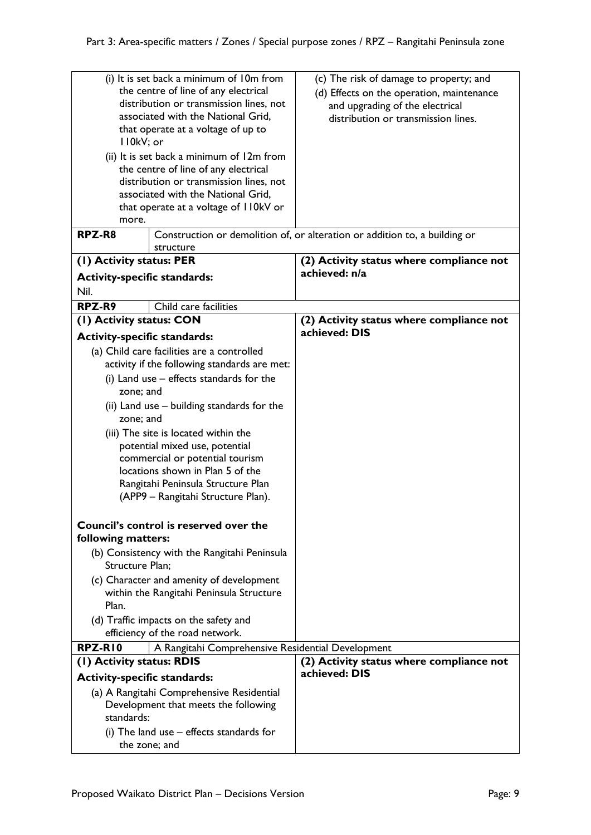|                                                                          | (i) It is set back a minimum of 10m from          | (c) The risk of damage to property; and                                    |
|--------------------------------------------------------------------------|---------------------------------------------------|----------------------------------------------------------------------------|
| the centre of line of any electrical                                     |                                                   | (d) Effects on the operation, maintenance                                  |
| distribution or transmission lines, not                                  |                                                   | and upgrading of the electrical                                            |
| associated with the National Grid,                                       |                                                   | distribution or transmission lines.                                        |
| that operate at a voltage of up to                                       |                                                   |                                                                            |
| II0kV; or                                                                |                                                   |                                                                            |
|                                                                          | (ii) It is set back a minimum of 12m from         |                                                                            |
|                                                                          | the centre of line of any electrical              |                                                                            |
|                                                                          | distribution or transmission lines, not           |                                                                            |
|                                                                          | associated with the National Grid,                |                                                                            |
|                                                                          | that operate at a voltage of 110kV or             |                                                                            |
| more.                                                                    |                                                   |                                                                            |
| RPZ-R8                                                                   |                                                   | Construction or demolition of, or alteration or addition to, a building or |
|                                                                          | structure                                         |                                                                            |
| (1) Activity status: PER                                                 |                                                   | (2) Activity status where compliance not                                   |
|                                                                          |                                                   | achieved: n/a                                                              |
| <b>Activity-specific standards:</b>                                      |                                                   |                                                                            |
| Nil.                                                                     |                                                   |                                                                            |
| RPZ-R9                                                                   | Child care facilities                             |                                                                            |
| (1) Activity status: CON                                                 |                                                   | (2) Activity status where compliance not                                   |
| <b>Activity-specific standards:</b>                                      |                                                   | achieved: DIS                                                              |
|                                                                          |                                                   |                                                                            |
|                                                                          | (a) Child care facilities are a controlled        |                                                                            |
|                                                                          | activity if the following standards are met:      |                                                                            |
|                                                                          | (i) Land use $-$ effects standards for the        |                                                                            |
| zone; and                                                                |                                                   |                                                                            |
|                                                                          | (ii) Land use – building standards for the        |                                                                            |
| zone; and                                                                |                                                   |                                                                            |
|                                                                          | (iii) The site is located within the              |                                                                            |
|                                                                          | potential mixed use, potential                    |                                                                            |
|                                                                          | commercial or potential tourism                   |                                                                            |
|                                                                          | locations shown in Plan 5 of the                  |                                                                            |
|                                                                          | Rangitahi Peninsula Structure Plan                |                                                                            |
|                                                                          | (APP9 – Rangitahi Structure Plan).                |                                                                            |
|                                                                          |                                                   |                                                                            |
|                                                                          | Council's control is reserved over the            |                                                                            |
| following matters:                                                       |                                                   |                                                                            |
|                                                                          | (b) Consistency with the Rangitahi Peninsula      |                                                                            |
| Structure Plan;                                                          |                                                   |                                                                            |
|                                                                          | (c) Character and amenity of development          |                                                                            |
|                                                                          | within the Rangitahi Peninsula Structure          |                                                                            |
| Plan.                                                                    |                                                   |                                                                            |
|                                                                          |                                                   |                                                                            |
| (d) Traffic impacts on the safety and<br>efficiency of the road network. |                                                   |                                                                            |
|                                                                          |                                                   |                                                                            |
| RPZ-RIO                                                                  | A Rangitahi Comprehensive Residential Development |                                                                            |
| (1) Activity status: RDIS                                                |                                                   | (2) Activity status where compliance not<br>achieved: DIS                  |
| <b>Activity-specific standards:</b>                                      |                                                   |                                                                            |
|                                                                          | (a) A Rangitahi Comprehensive Residential         |                                                                            |
|                                                                          | Development that meets the following              |                                                                            |
| standards:                                                               |                                                   |                                                                            |
| (i) The land use $-$ effects standards for                               |                                                   |                                                                            |
| the zone; and                                                            |                                                   |                                                                            |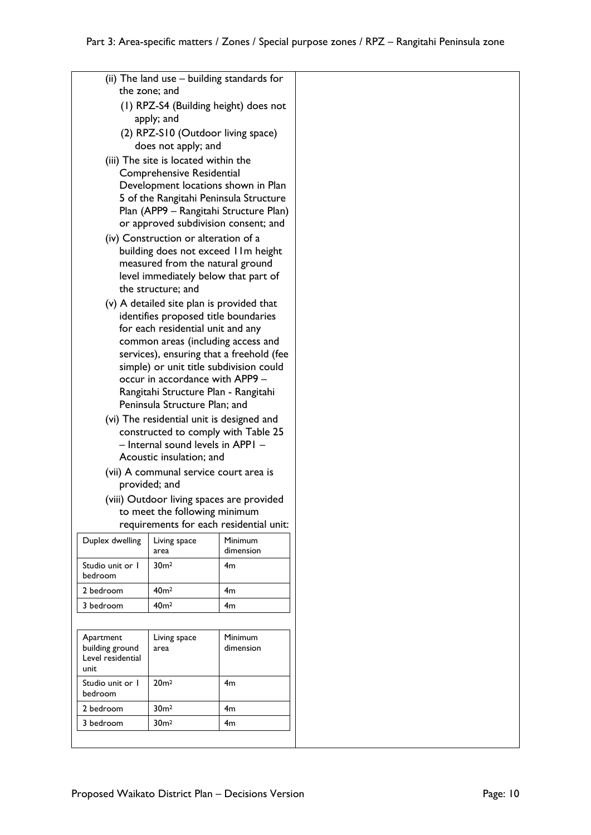|                                                           | the zone; and                                                           | (ii) The land use – building standards for |  |
|-----------------------------------------------------------|-------------------------------------------------------------------------|--------------------------------------------|--|
| (1) RPZ-S4 (Building height) does not                     |                                                                         |                                            |  |
| apply; and                                                |                                                                         |                                            |  |
|                                                           | (2) RPZ-S10 (Outdoor living space)                                      |                                            |  |
|                                                           | does not apply; and                                                     |                                            |  |
|                                                           | (iii) The site is located within the                                    |                                            |  |
|                                                           | <b>Comprehensive Residential</b>                                        |                                            |  |
|                                                           |                                                                         | Development locations shown in Plan        |  |
|                                                           |                                                                         | 5 of the Rangitahi Peninsula Structure     |  |
|                                                           |                                                                         | Plan (APP9 – Rangitahi Structure Plan)     |  |
|                                                           |                                                                         | or approved subdivision consent; and       |  |
|                                                           | (iv) Construction or alteration of a                                    |                                            |  |
|                                                           |                                                                         | building does not exceed IIm height        |  |
|                                                           | measured from the natural ground                                        |                                            |  |
|                                                           | level immediately below that part of                                    |                                            |  |
|                                                           | the structure; and                                                      |                                            |  |
|                                                           | (v) A detailed site plan is provided that                               |                                            |  |
|                                                           | identifies proposed title boundaries                                    |                                            |  |
|                                                           | for each residential unit and any<br>common areas (including access and |                                            |  |
|                                                           |                                                                         | services), ensuring that a freehold (fee   |  |
|                                                           |                                                                         | simple) or unit title subdivision could    |  |
|                                                           | occur in accordance with APP9 -                                         |                                            |  |
|                                                           | Rangitahi Structure Plan - Rangitahi                                    |                                            |  |
|                                                           | Peninsula Structure Plan; and                                           |                                            |  |
|                                                           | (vi) The residential unit is designed and                               |                                            |  |
|                                                           |                                                                         | constructed to comply with Table 25        |  |
|                                                           | - Internal sound levels in APPI -                                       |                                            |  |
|                                                           | Acoustic insulation; and                                                |                                            |  |
|                                                           | (vii) A communal service court area is                                  |                                            |  |
|                                                           | provided; and                                                           |                                            |  |
|                                                           |                                                                         | (viii) Outdoor living spaces are provided  |  |
|                                                           | to meet the following minimum                                           |                                            |  |
|                                                           |                                                                         | requirements for each residential unit:    |  |
| Duplex dwelling                                           | Living space<br>area                                                    | Minimum<br>dimension                       |  |
| Studio unit or I<br>bedroom                               | 30 <sub>m²</sub>                                                        | 4m                                         |  |
| 2 bedroom                                                 | 40 <sub>m²</sub>                                                        | 4m                                         |  |
| 3 bedroom                                                 | 40 <sup>m²</sup>                                                        | 4m                                         |  |
|                                                           |                                                                         |                                            |  |
|                                                           |                                                                         |                                            |  |
| Apartment<br>building ground<br>Level residential<br>unit | Living space<br>area                                                    | Minimum<br>dimension                       |  |
| Studio unit or I<br>bedroom                               | 20 <sub>m²</sub>                                                        | 4m                                         |  |
| 2 bedroom                                                 | 30 <sub>m²</sub>                                                        | 4m                                         |  |
| 3 bedroom                                                 | 30 <sub>m²</sub>                                                        | 4m                                         |  |
|                                                           |                                                                         |                                            |  |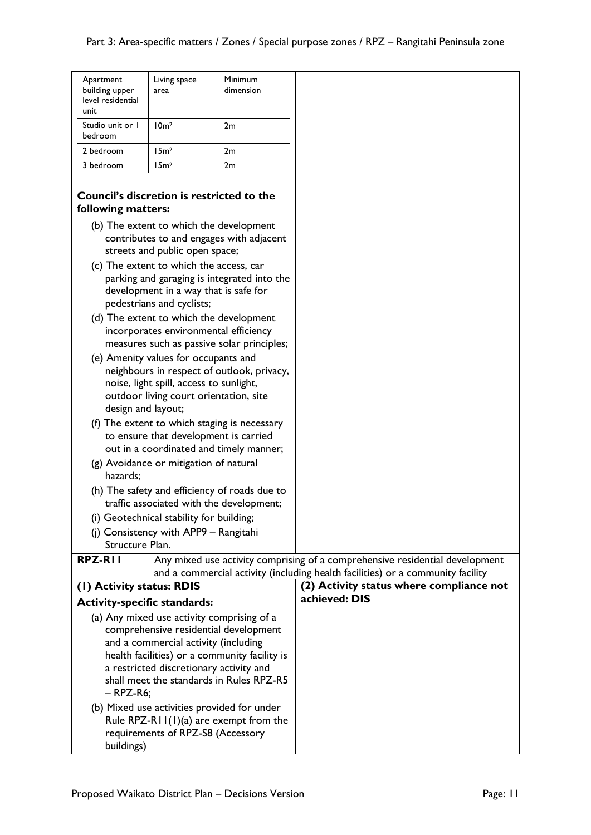| Apartment<br>building upper<br>level residential<br>unit                              | Living space<br>area                        | Minimum<br>dimension                        |                                                                              |
|---------------------------------------------------------------------------------------|---------------------------------------------|---------------------------------------------|------------------------------------------------------------------------------|
| Studio unit or 1<br>bedroom                                                           | 10 <sub>m²</sub>                            | 2m                                          |                                                                              |
| 2 bedroom                                                                             | 15m <sup>2</sup>                            | 2m                                          |                                                                              |
| 3 bedroom                                                                             | 15m <sup>2</sup>                            | 2m                                          |                                                                              |
| Council's discretion is restricted to the<br>following matters:                       |                                             |                                             |                                                                              |
|                                                                                       | (b) The extent to which the development     | contributes to and engages with adjacent    |                                                                              |
|                                                                                       | streets and public open space;              |                                             |                                                                              |
|                                                                                       | (c) The extent to which the access, car     |                                             |                                                                              |
|                                                                                       |                                             | parking and garaging is integrated into the |                                                                              |
|                                                                                       | development in a way that is safe for       |                                             |                                                                              |
|                                                                                       | pedestrians and cyclists;                   |                                             |                                                                              |
|                                                                                       | (d) The extent to which the development     |                                             |                                                                              |
|                                                                                       | incorporates environmental efficiency       |                                             |                                                                              |
|                                                                                       |                                             | measures such as passive solar principles;  |                                                                              |
|                                                                                       | (e) Amenity values for occupants and        |                                             |                                                                              |
|                                                                                       | noise, light spill, access to sunlight,     | neighbours in respect of outlook, privacy,  |                                                                              |
|                                                                                       | outdoor living court orientation, site      |                                             |                                                                              |
| design and layout;                                                                    |                                             |                                             |                                                                              |
| (f) The extent to which staging is necessary                                          |                                             |                                             |                                                                              |
| to ensure that development is carried                                                 |                                             |                                             |                                                                              |
| out in a coordinated and timely manner;                                               |                                             |                                             |                                                                              |
| (g) Avoidance or mitigation of natural                                                |                                             |                                             |                                                                              |
| hazards:                                                                              |                                             |                                             |                                                                              |
| (h) The safety and efficiency of roads due to                                         |                                             |                                             |                                                                              |
| traffic associated with the development;<br>(i) Geotechnical stability for building;  |                                             |                                             |                                                                              |
|                                                                                       | (i) Consistency with APP9 - Rangitahi       |                                             |                                                                              |
| Structure Plan.                                                                       |                                             |                                             |                                                                              |
| <b>RPZ-RII</b>                                                                        |                                             |                                             | Any mixed use activity comprising of a comprehensive residential development |
| and a commercial activity (including health facilities) or a community facility       |                                             |                                             |                                                                              |
|                                                                                       | (1) Activity status: RDIS                   |                                             | (2) Activity status where compliance not                                     |
| <b>Activity-specific standards:</b>                                                   |                                             |                                             | achieved: DIS                                                                |
|                                                                                       | (a) Any mixed use activity comprising of a  |                                             |                                                                              |
|                                                                                       | comprehensive residential development       |                                             |                                                                              |
| and a commercial activity (including<br>health facilities) or a community facility is |                                             |                                             |                                                                              |
| a restricted discretionary activity and                                               |                                             |                                             |                                                                              |
| shall meet the standards in Rules RPZ-R5                                              |                                             |                                             |                                                                              |
| $-$ RPZ-R6;                                                                           |                                             |                                             |                                                                              |
|                                                                                       | (b) Mixed use activities provided for under |                                             |                                                                              |
|                                                                                       |                                             | Rule RPZ-R11(1)(a) are exempt from the      |                                                                              |
|                                                                                       | requirements of RPZ-S8 (Accessory           |                                             |                                                                              |
| buildings)                                                                            |                                             |                                             |                                                                              |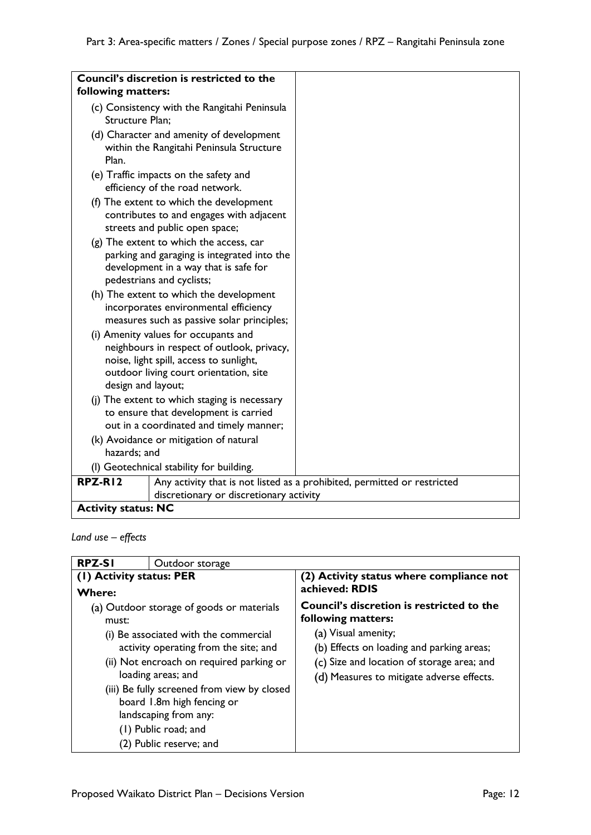|                                                                                                                                  | Council's discretion is restricted to the                                                                                                                               |                                                                          |
|----------------------------------------------------------------------------------------------------------------------------------|-------------------------------------------------------------------------------------------------------------------------------------------------------------------------|--------------------------------------------------------------------------|
| following matters:                                                                                                               |                                                                                                                                                                         |                                                                          |
| Structure Plan:                                                                                                                  | (c) Consistency with the Rangitahi Peninsula                                                                                                                            |                                                                          |
| Plan.                                                                                                                            | (d) Character and amenity of development<br>within the Rangitahi Peninsula Structure                                                                                    |                                                                          |
|                                                                                                                                  | (e) Traffic impacts on the safety and<br>efficiency of the road network.                                                                                                |                                                                          |
|                                                                                                                                  | (f) The extent to which the development<br>contributes to and engages with adjacent<br>streets and public open space;                                                   |                                                                          |
|                                                                                                                                  | (g) The extent to which the access, car<br>parking and garaging is integrated into the<br>development in a way that is safe for<br>pedestrians and cyclists;            |                                                                          |
| (h) The extent to which the development<br>incorporates environmental efficiency<br>measures such as passive solar principles;   |                                                                                                                                                                         |                                                                          |
| design and layout;                                                                                                               | (i) Amenity values for occupants and<br>neighbours in respect of outlook, privacy,<br>noise, light spill, access to sunlight,<br>outdoor living court orientation, site |                                                                          |
| (j) The extent to which staging is necessary<br>to ensure that development is carried<br>out in a coordinated and timely manner; |                                                                                                                                                                         |                                                                          |
|                                                                                                                                  | (k) Avoidance or mitigation of natural                                                                                                                                  |                                                                          |
|                                                                                                                                  | hazards; and                                                                                                                                                            |                                                                          |
|                                                                                                                                  | (I) Geotechnical stability for building.                                                                                                                                |                                                                          |
| RPZ-RI2                                                                                                                          |                                                                                                                                                                         | Any activity that is not listed as a prohibited, permitted or restricted |
| discretionary or discretionary activity<br><b>Activity status: NC</b>                                                            |                                                                                                                                                                         |                                                                          |
|                                                                                                                                  |                                                                                                                                                                         |                                                                          |

*Land use – effects*

| <b>RPZ-SI</b><br>Outdoor storage          |                                                                                                                                                                                                                                                                                                                                                        |                                                                                                                                                                                                                                       |
|-------------------------------------------|--------------------------------------------------------------------------------------------------------------------------------------------------------------------------------------------------------------------------------------------------------------------------------------------------------------------------------------------------------|---------------------------------------------------------------------------------------------------------------------------------------------------------------------------------------------------------------------------------------|
| (1) Activity status: PER<br><b>Where:</b> |                                                                                                                                                                                                                                                                                                                                                        | (2) Activity status where compliance not<br>achieved: RDIS                                                                                                                                                                            |
| must:                                     | (a) Outdoor storage of goods or materials<br>(i) Be associated with the commercial<br>activity operating from the site; and<br>(ii) Not encroach on required parking or<br>loading areas; and<br>(iii) Be fully screened from view by closed<br>board 1.8m high fencing or<br>landscaping from any:<br>(1) Public road; and<br>(2) Public reserve; and | <b>Council's discretion is restricted to the</b><br>following matters:<br>(a) Visual amenity;<br>(b) Effects on loading and parking areas;<br>(c) Size and location of storage area; and<br>(d) Measures to mitigate adverse effects. |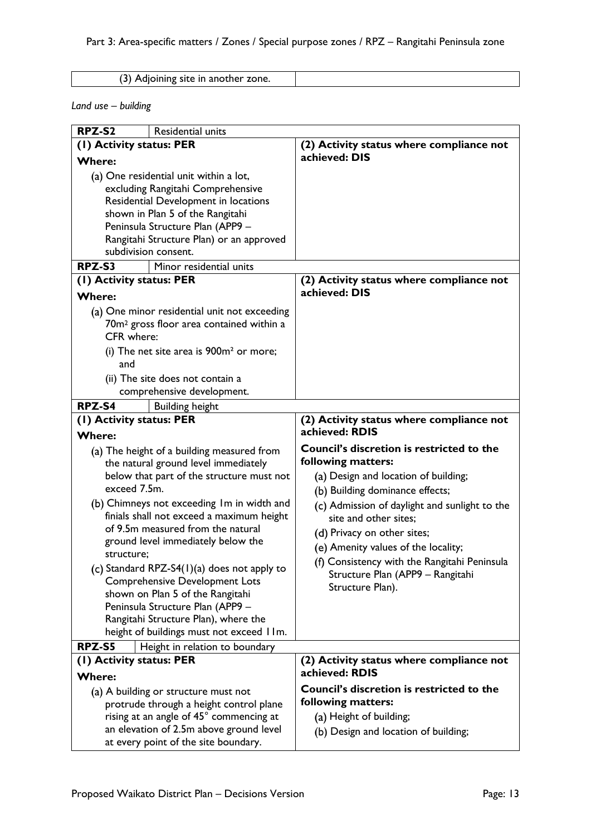(3) Adjoining site in another zone.

*Land use – building*

| RPZ-S2                                   | Residential units                                    |                                               |
|------------------------------------------|------------------------------------------------------|-----------------------------------------------|
| (I) Activity status: PER                 |                                                      | (2) Activity status where compliance not      |
| <b>Where:</b>                            |                                                      | achieved: DIS                                 |
| (a) One residential unit within a lot,   |                                                      |                                               |
| excluding Rangitahi Comprehensive        |                                                      |                                               |
|                                          | Residential Development in locations                 |                                               |
|                                          | shown in Plan 5 of the Rangitahi                     |                                               |
|                                          | Peninsula Structure Plan (APP9 -                     |                                               |
|                                          | Rangitahi Structure Plan) or an approved             |                                               |
|                                          | subdivision consent.                                 |                                               |
| RPZ-S3                                   | Minor residential units                              |                                               |
| (1) Activity status: PER                 |                                                      | (2) Activity status where compliance not      |
| <b>Where:</b>                            |                                                      | achieved: DIS                                 |
|                                          | (a) One minor residential unit not exceeding         |                                               |
|                                          | 70m <sup>2</sup> gross floor area contained within a |                                               |
| CFR where:                               |                                                      |                                               |
|                                          | (i) The net site area is $900m2$ or more;            |                                               |
| and                                      |                                                      |                                               |
|                                          | (ii) The site does not contain a                     |                                               |
|                                          | comprehensive development.                           |                                               |
| RPZ-S4                                   | <b>Building height</b>                               |                                               |
| (I) Activity status: PER                 |                                                      | (2) Activity status where compliance not      |
| <b>Where:</b>                            |                                                      | achieved: RDIS                                |
|                                          | (a) The height of a building measured from           | Council's discretion is restricted to the     |
|                                          | the natural ground level immediately                 | following matters:                            |
|                                          | below that part of the structure must not            | (a) Design and location of building;          |
| exceed 7.5m.                             |                                                      | (b) Building dominance effects;               |
|                                          | (b) Chimneys not exceeding Im in width and           | (c) Admission of daylight and sunlight to the |
|                                          | finials shall not exceed a maximum height            | site and other sites;                         |
|                                          | of 9.5m measured from the natural                    | (d) Privacy on other sites;                   |
| structure;                               | ground level immediately below the                   | (e) Amenity values of the locality;           |
|                                          | (c) Standard RPZ-S4(1)(a) does not apply to          | (f) Consistency with the Rangitahi Peninsula  |
|                                          | <b>Comprehensive Development Lots</b>                | Structure Plan (APP9 - Rangitahi              |
|                                          | shown on Plan 5 of the Rangitahi                     | Structure Plan).                              |
|                                          | Peninsula Structure Plan (APP9 -                     |                                               |
| Rangitahi Structure Plan), where the     |                                                      |                                               |
| height of buildings must not exceed IIm. |                                                      |                                               |
| RPZ-S5                                   | Height in relation to boundary                       |                                               |
| (I) Activity status: PER                 |                                                      | (2) Activity status where compliance not      |
| <b>Where:</b>                            |                                                      | achieved: RDIS                                |
|                                          | (a) A building or structure must not                 | Council's discretion is restricted to the     |
|                                          | protrude through a height control plane              | following matters:                            |
|                                          | rising at an angle of 45° commencing at              | (a) Height of building;                       |
|                                          | an elevation of 2.5m above ground level              | (b) Design and location of building;          |
| at every point of the site boundary.     |                                                      |                                               |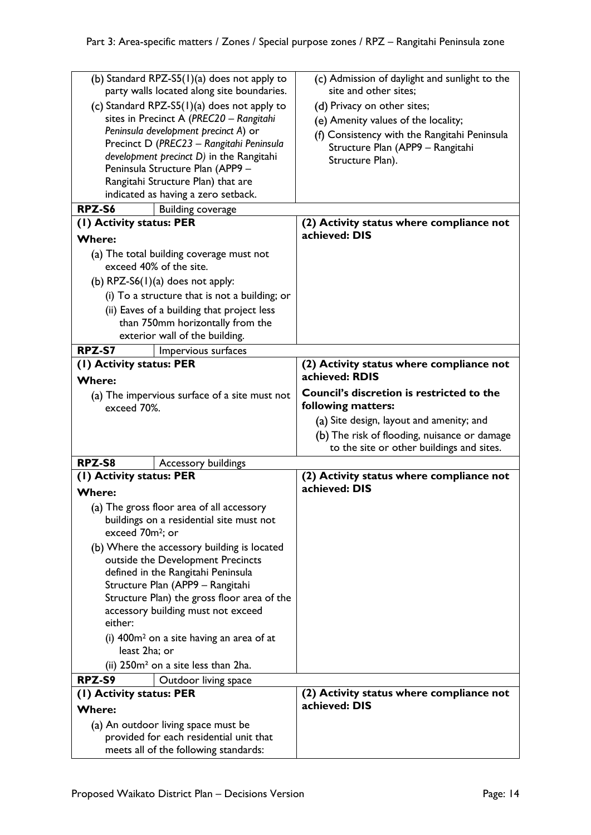| (b) Standard RPZ-S5(1)(a) does not apply to<br>party walls located along site boundaries. | (c) Admission of daylight and sunlight to the<br>site and other sites; |
|-------------------------------------------------------------------------------------------|------------------------------------------------------------------------|
| (c) Standard RPZ-S5(1)(a) does not apply to                                               | (d) Privacy on other sites;                                            |
| sites in Precinct A (PREC20 - Rangitahi                                                   | (e) Amenity values of the locality;                                    |
| Peninsula development precinct A) or                                                      | (f) Consistency with the Rangitahi Peninsula                           |
| Precinct D (PREC23 - Rangitahi Peninsula                                                  | Structure Plan (APP9 - Rangitahi                                       |
| development precinct D) in the Rangitahi                                                  | Structure Plan).                                                       |
| Peninsula Structure Plan (APP9 -                                                          |                                                                        |
| Rangitahi Structure Plan) that are                                                        |                                                                        |
| indicated as having a zero setback.                                                       |                                                                        |
| RPZ-S6<br><b>Building coverage</b>                                                        |                                                                        |
| (1) Activity status: PER                                                                  | (2) Activity status where compliance not<br>achieved: DIS              |
| <b>Where:</b>                                                                             |                                                                        |
| (a) The total building coverage must not                                                  |                                                                        |
| exceed 40% of the site.                                                                   |                                                                        |
| (b) $RPZ-S6(1)(a)$ does not apply:                                                        |                                                                        |
| (i) To a structure that is not a building; or                                             |                                                                        |
| (ii) Eaves of a building that project less                                                |                                                                        |
| than 750mm horizontally from the                                                          |                                                                        |
| exterior wall of the building.                                                            |                                                                        |
| RPZ-S7<br>Impervious surfaces                                                             |                                                                        |
| (1) Activity status: PER                                                                  | (2) Activity status where compliance not                               |
| <b>Where:</b>                                                                             | achieved: RDIS                                                         |
| (a) The impervious surface of a site must not<br>exceed 70%.                              | Council's discretion is restricted to the<br>following matters:        |
|                                                                                           |                                                                        |
|                                                                                           | (a) Site design, layout and amenity; and                               |
|                                                                                           | (b) The risk of flooding, nuisance or damage                           |
|                                                                                           | to the site or other buildings and sites.                              |
| RPZ-S8<br>Accessory buildings                                                             |                                                                        |
| (I) Activity status: PER                                                                  | (2) Activity status where compliance not                               |
| <b>Where:</b>                                                                             | achieved: DIS                                                          |
| (a) The gross floor area of all accessory                                                 |                                                                        |
| buildings on a residential site must not<br>exceed 70m <sup>2</sup> ; or                  |                                                                        |
|                                                                                           |                                                                        |
| (b) Where the accessory building is located<br>outside the Development Precincts          |                                                                        |
| defined in the Rangitahi Peninsula                                                        |                                                                        |
| Structure Plan (APP9 - Rangitahi                                                          |                                                                        |
| Structure Plan) the gross floor area of the                                               |                                                                        |
| accessory building must not exceed                                                        |                                                                        |
| either:                                                                                   |                                                                        |
| (i) $400m^2$ on a site having an area of at                                               |                                                                        |
| least 2ha; or                                                                             |                                                                        |
| (ii) 250m <sup>2</sup> on a site less than 2ha.                                           |                                                                        |
| RPZ-S9<br>Outdoor living space                                                            |                                                                        |
| (1) Activity status: PER                                                                  | (2) Activity status where compliance not                               |
| <b>Where:</b>                                                                             | achieved: DIS                                                          |
| (a) An outdoor living space must be                                                       |                                                                        |
| provided for each residential unit that<br>meets all of the following standards:          |                                                                        |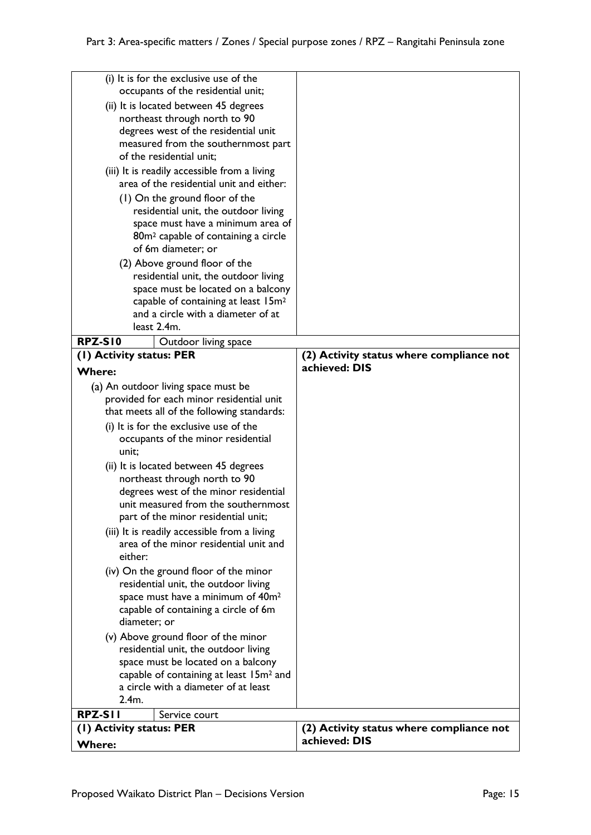|                                                                       | (i) It is for the exclusive use of the<br>occupants of the residential unit;          |                                          |
|-----------------------------------------------------------------------|---------------------------------------------------------------------------------------|------------------------------------------|
|                                                                       | (ii) It is located between 45 degrees                                                 |                                          |
| northeast through north to 90<br>degrees west of the residential unit |                                                                                       |                                          |
|                                                                       | measured from the southernmost part                                                   |                                          |
|                                                                       | of the residential unit;                                                              |                                          |
|                                                                       | (iii) It is readily accessible from a living                                          |                                          |
|                                                                       | area of the residential unit and either:                                              |                                          |
|                                                                       | (1) On the ground floor of the                                                        |                                          |
|                                                                       | residential unit, the outdoor living                                                  |                                          |
|                                                                       | space must have a minimum area of                                                     |                                          |
|                                                                       | 80m <sup>2</sup> capable of containing a circle                                       |                                          |
|                                                                       | of 6m diameter; or                                                                    |                                          |
|                                                                       | (2) Above ground floor of the                                                         |                                          |
|                                                                       | residential unit, the outdoor living                                                  |                                          |
|                                                                       | space must be located on a balcony<br>capable of containing at least 15m <sup>2</sup> |                                          |
|                                                                       | and a circle with a diameter of at                                                    |                                          |
|                                                                       | least 2.4m.                                                                           |                                          |
| <b>RPZ-S10</b>                                                        | Outdoor living space                                                                  |                                          |
| (I) Activity status: PER                                              |                                                                                       | (2) Activity status where compliance not |
| <b>Where:</b>                                                         |                                                                                       | achieved: DIS                            |
|                                                                       | (a) An outdoor living space must be                                                   |                                          |
|                                                                       | provided for each minor residential unit                                              |                                          |
|                                                                       | that meets all of the following standards:                                            |                                          |
|                                                                       | (i) It is for the exclusive use of the                                                |                                          |
|                                                                       | occupants of the minor residential                                                    |                                          |
| unit;                                                                 |                                                                                       |                                          |
|                                                                       | (ii) It is located between 45 degrees                                                 |                                          |
|                                                                       | northeast through north to 90                                                         |                                          |
|                                                                       | degrees west of the minor residential                                                 |                                          |
|                                                                       | unit measured from the southernmost                                                   |                                          |
|                                                                       | part of the minor residential unit;                                                   |                                          |
|                                                                       | (iii) It is readily accessible from a living                                          |                                          |
|                                                                       | area of the minor residential unit and                                                |                                          |
| either:                                                               |                                                                                       |                                          |
|                                                                       | (iv) On the ground floor of the minor                                                 |                                          |
|                                                                       | residential unit, the outdoor living<br>space must have a minimum of 40m <sup>2</sup> |                                          |
|                                                                       | capable of containing a circle of 6m                                                  |                                          |
| diameter: or                                                          |                                                                                       |                                          |
|                                                                       | (v) Above ground floor of the minor                                                   |                                          |
|                                                                       | residential unit, the outdoor living                                                  |                                          |
|                                                                       | space must be located on a balcony                                                    |                                          |
| capable of containing at least 15m <sup>2</sup> and                   |                                                                                       |                                          |
|                                                                       | a circle with a diameter of at least                                                  |                                          |
| 2.4m.                                                                 |                                                                                       |                                          |
| RPZ-SII                                                               | Service court                                                                         |                                          |
| (1) Activity status: PER                                              |                                                                                       | (2) Activity status where compliance not |
| Where:                                                                |                                                                                       | achieved: DIS                            |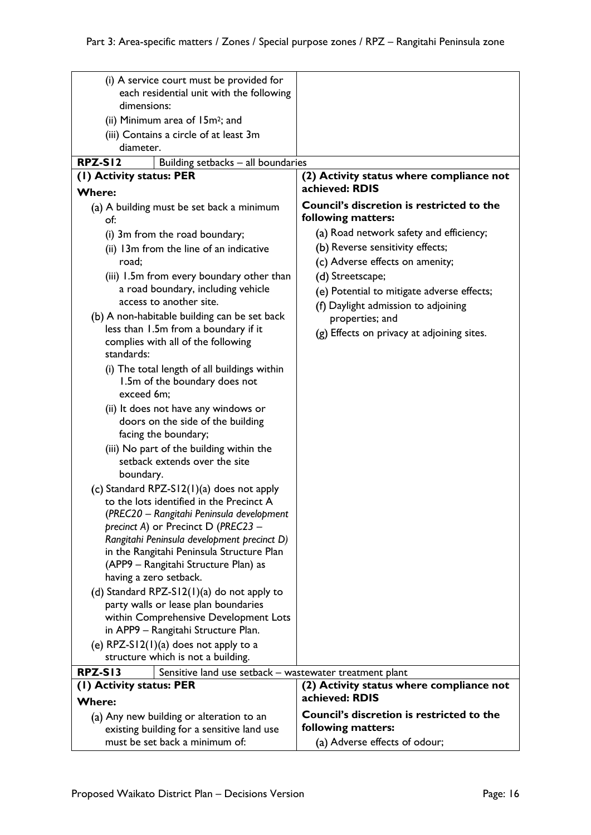| (i) A service court must be provided for<br>each residential unit with the following  |                                                                 |  |
|---------------------------------------------------------------------------------------|-----------------------------------------------------------------|--|
| dimensions:                                                                           |                                                                 |  |
| (ii) Minimum area of 15m <sup>2</sup> ; and                                           |                                                                 |  |
| (iii) Contains a circle of at least 3m                                                |                                                                 |  |
| diameter.                                                                             |                                                                 |  |
| <b>RPZ-S12</b><br>Building setbacks - all boundaries                                  |                                                                 |  |
| (1) Activity status: PER                                                              | (2) Activity status where compliance not                        |  |
| <b>Where:</b>                                                                         | achieved: RDIS                                                  |  |
| (a) A building must be set back a minimum                                             | Council's discretion is restricted to the<br>following matters: |  |
| of:                                                                                   | (a) Road network safety and efficiency;                         |  |
| (i) 3m from the road boundary;                                                        | (b) Reverse sensitivity effects;                                |  |
| (ii) 13m from the line of an indicative<br>road:                                      |                                                                 |  |
|                                                                                       | (c) Adverse effects on amenity;                                 |  |
| (iii) 1.5m from every boundary other than<br>a road boundary, including vehicle       | (d) Streetscape;                                                |  |
| access to another site.                                                               | (e) Potential to mitigate adverse effects;                      |  |
| (b) A non-habitable building can be set back                                          | (f) Daylight admission to adjoining                             |  |
| less than 1.5m from a boundary if it                                                  | properties; and                                                 |  |
| complies with all of the following                                                    | (g) Effects on privacy at adjoining sites.                      |  |
| standards:                                                                            |                                                                 |  |
| (i) The total length of all buildings within                                          |                                                                 |  |
| 1.5m of the boundary does not                                                         |                                                                 |  |
| exceed 6m;                                                                            |                                                                 |  |
| (ii) It does not have any windows or                                                  |                                                                 |  |
| doors on the side of the building                                                     |                                                                 |  |
| facing the boundary;                                                                  |                                                                 |  |
| (iii) No part of the building within the                                              |                                                                 |  |
| setback extends over the site                                                         |                                                                 |  |
| boundary.                                                                             |                                                                 |  |
| (c) Standard RPZ-S12(1)(a) does not apply<br>to the lots identified in the Precinct A |                                                                 |  |
| (PREC20 - Rangitahi Peninsula development                                             |                                                                 |  |
| precinct A) or Precinct D (PREC23 -                                                   |                                                                 |  |
| Rangitahi Peninsula development precinct D)                                           |                                                                 |  |
| in the Rangitahi Peninsula Structure Plan                                             |                                                                 |  |
| (APP9 – Rangitahi Structure Plan) as                                                  |                                                                 |  |
| having a zero setback.                                                                |                                                                 |  |
| (d) Standard RPZ-S12(1)(a) do not apply to                                            |                                                                 |  |
| party walls or lease plan boundaries                                                  |                                                                 |  |
| within Comprehensive Development Lots<br>in APP9 - Rangitahi Structure Plan.          |                                                                 |  |
| (e) $RPZ-S12(1)(a)$ does not apply to a                                               |                                                                 |  |
| structure which is not a building.                                                    |                                                                 |  |
| <b>RPZ-S13</b><br>Sensitive land use setback - wastewater treatment plant             |                                                                 |  |
| (1) Activity status: PER                                                              | (2) Activity status where compliance not                        |  |
| <b>Where:</b>                                                                         | achieved: RDIS                                                  |  |
| (a) Any new building or alteration to an                                              | <b>Council's discretion is restricted to the</b>                |  |
| existing building for a sensitive land use                                            | following matters:                                              |  |
| must be set back a minimum of:                                                        | (a) Adverse effects of odour;                                   |  |